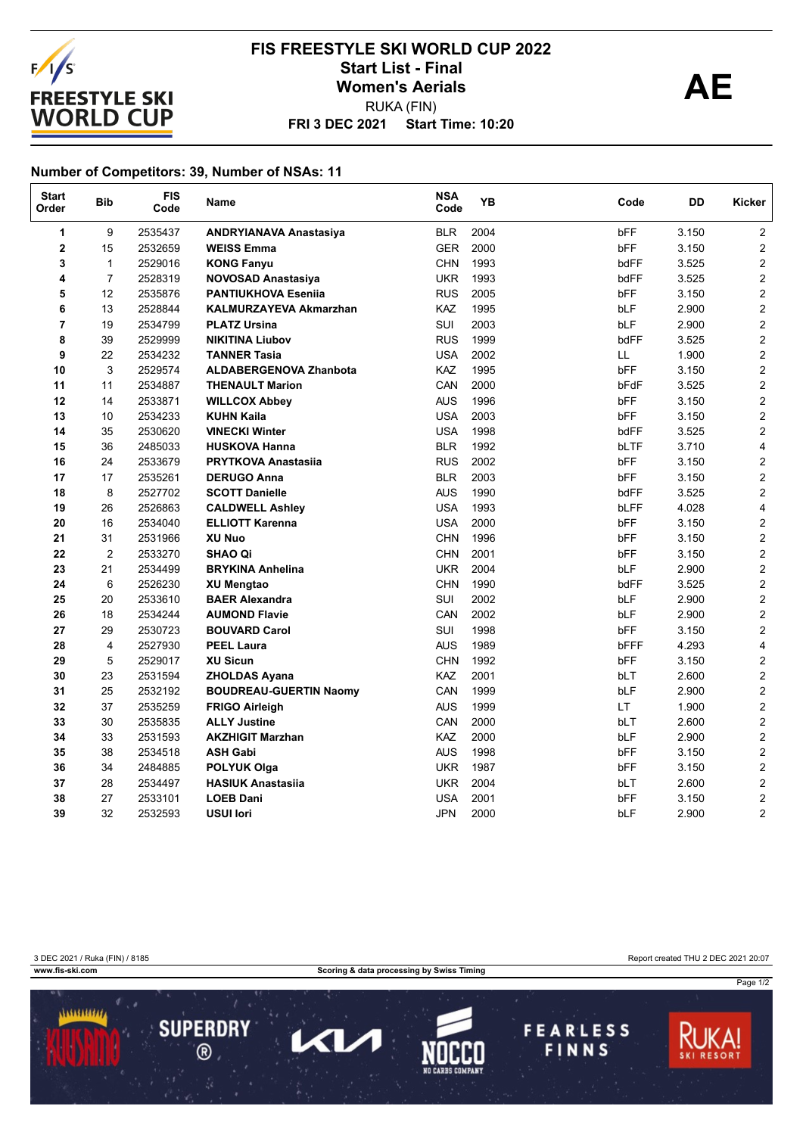

## **FRI 3 DEC 2021 Start Time: 10:20 FIS FREESTYLE SKI WORLD CUP 2022** Start List - Final<br>
Women's Aerials<br> **AE** RUKA (FIN)

## **Number of Competitors: 39, Number of NSAs: 11**

| <b>Start</b><br>Order | <b>Bib</b>     | <b>FIS</b><br>Code | Name                          | <b>NSA</b><br>Code | <b>YB</b> | Code        | DD    | Kicker                  |
|-----------------------|----------------|--------------------|-------------------------------|--------------------|-----------|-------------|-------|-------------------------|
| 1                     | 9              | 2535437            | <b>ANDRYIANAVA Anastasiya</b> | <b>BLR</b>         | 2004      | bFF         | 3.150 | $\overline{2}$          |
| 2                     | 15             | 2532659            | <b>WEISS Emma</b>             | <b>GER</b>         | 2000      | bFF         | 3.150 | 2                       |
| 3                     | $\mathbf{1}$   | 2529016            | <b>KONG Fanyu</b>             | <b>CHN</b>         | 1993      | bdFF        | 3.525 | $\mathbf{2}$            |
| 4                     | $\overline{7}$ | 2528319            | NOVOSAD Anastasiya            | <b>UKR</b>         | 1993      | bdFF        | 3.525 | $\mathbf{2}$            |
| 5                     | 12             | 2535876            | <b>PANTIUKHOVA Esenija</b>    | <b>RUS</b>         | 2005      | bFF         | 3.150 | $\overline{2}$          |
| 6                     | 13             | 2528844            | KALMURZAYEVA Akmarzhan        | <b>KAZ</b>         | 1995      | bLF         | 2.900 | $\overline{c}$          |
| 7                     | 19             | 2534799            | <b>PLATZ Ursina</b>           | SUI                | 2003      | bLF         | 2.900 | $\mathbf{2}$            |
| 8                     | 39             | 2529999            | <b>NIKITINA Liubov</b>        | <b>RUS</b>         | 1999      | bdFF        | 3.525 | $\mathbf{2}$            |
| 9                     | 22             | 2534232            | <b>TANNER Tasia</b>           | <b>USA</b>         | 2002      | LL          | 1.900 | $\overline{\mathbf{c}}$ |
| 10                    | 3              | 2529574            | <b>ALDABERGENOVA Zhanbota</b> | KAZ                | 1995      | bFF         | 3.150 | $\overline{c}$          |
| 11                    | 11             | 2534887            | <b>THENAULT Marion</b>        | CAN                | 2000      | bFdF        | 3.525 | $\overline{\mathbf{c}}$ |
| 12                    | 14             | 2533871            | <b>WILLCOX Abbey</b>          | <b>AUS</b>         | 1996      | bFF         | 3.150 | $\mathbf{2}$            |
| 13                    | 10             | 2534233            | <b>KUHN Kaila</b>             | <b>USA</b>         | 2003      | <b>bFF</b>  | 3.150 | $\overline{2}$          |
| 14                    | 35             | 2530620            | <b>VINECKI Winter</b>         | <b>USA</b>         | 1998      | bdFF        | 3.525 | 2                       |
| 15                    | 36             | 2485033            | <b>HUSKOVA Hanna</b>          | <b>BLR</b>         | 1992      | bLTF        | 3.710 | $\overline{4}$          |
| 16                    | 24             | 2533679            | <b>PRYTKOVA Anastasiia</b>    | <b>RUS</b>         | 2002      | bFF         | 3.150 | 2                       |
| 17                    | 17             | 2535261            | <b>DERUGO Anna</b>            | <b>BLR</b>         | 2003      | bFF         | 3.150 | $\mathbf{2}$            |
| 18                    | 8              | 2527702            | <b>SCOTT Danielle</b>         | <b>AUS</b>         | 1990      | bdFF        | 3.525 | $\overline{c}$          |
| 19                    | 26             | 2526863            | <b>CALDWELL Ashley</b>        | <b>USA</b>         | 1993      | bLFF        | 4.028 | 4                       |
| 20                    | 16             | 2534040            | <b>ELLIOTT Karenna</b>        | <b>USA</b>         | 2000      | bFF         | 3.150 | 2                       |
| 21                    | 31             | 2531966            | XU Nuo                        | <b>CHN</b>         | 1996      | bFF         | 3.150 | $\overline{2}$          |
| 22                    | $\overline{2}$ | 2533270            | <b>SHAO Qi</b>                | <b>CHN</b>         | 2001      | bFF         | 3.150 | $\overline{c}$          |
| 23                    | 21             | 2534499            | <b>BRYKINA Anhelina</b>       | <b>UKR</b>         | 2004      | bLF         | 2.900 | $\overline{c}$          |
| 24                    | 6              | 2526230            | <b>XU Mengtao</b>             | <b>CHN</b>         | 1990      | bdFF        | 3.525 | $\overline{c}$          |
| 25                    | 20             | 2533610            | <b>BAER Alexandra</b>         | SUI                | 2002      | bLF         | 2.900 | $\overline{c}$          |
| 26                    | 18             | 2534244            | <b>AUMOND Flavie</b>          | CAN                | 2002      | bLF         | 2.900 | $\overline{c}$          |
| 27                    | 29             | 2530723            | <b>BOUVARD Carol</b>          | SUI                | 1998      | bFF         | 3.150 | $\mathbf{2}$            |
| 28                    | 4              | 2527930            | <b>PEEL Laura</b>             | <b>AUS</b>         | 1989      | <b>bFFF</b> | 4.293 | 4                       |
| 29                    | 5              | 2529017            | <b>XU Sicun</b>               | <b>CHN</b>         | 1992      | <b>bFF</b>  | 3.150 | $\overline{\mathbf{c}}$ |
| 30                    | 23             | 2531594            | <b>ZHOLDAS Ayana</b>          | KAZ                | 2001      | <b>bLT</b>  | 2.600 | $\overline{c}$          |
| 31                    | 25             | 2532192            | <b>BOUDREAU-GUERTIN Naomy</b> | CAN                | 1999      | bLF         | 2.900 | $\overline{c}$          |
| 32                    | 37             | 2535259            | <b>FRIGO Airleigh</b>         | <b>AUS</b>         | 1999      | LT.         | 1.900 | $\mathbf{2}$            |
| 33                    | 30             | 2535835            | <b>ALLY Justine</b>           | CAN                | 2000      | bLT         | 2.600 | $\mathbf{2}$            |
| 34                    | 33             | 2531593            | <b>AKZHIGIT Marzhan</b>       | KAZ                | 2000      | bLF         | 2.900 | $\overline{\mathbf{c}}$ |
| 35                    | 38             | 2534518            | <b>ASH Gabi</b>               | <b>AUS</b>         | 1998      | bFF         | 3.150 | $\overline{c}$          |
| 36                    | 34             | 2484885            | <b>POLYUK Olga</b>            | <b>UKR</b>         | 1987      | bFF         | 3.150 | 2                       |
| 37                    | 28             | 2534497            | <b>HASIUK Anastasiia</b>      | <b>UKR</b>         | 2004      | bLT         | 2.600 | $\overline{2}$          |
| 38                    | 27             | 2533101            | <b>LOEB Dani</b>              | <b>USA</b>         | 2001      | <b>bFF</b>  | 3.150 | 2                       |
| 39                    | 32             | 2532593            | <b>USUI lori</b>              | <b>JPN</b>         | 2000      | bLF         | 2.900 | 2                       |

3 DEC 2021 / Ruka (FIN) / 8185 Report created THU 2 DEC 2021 20:07